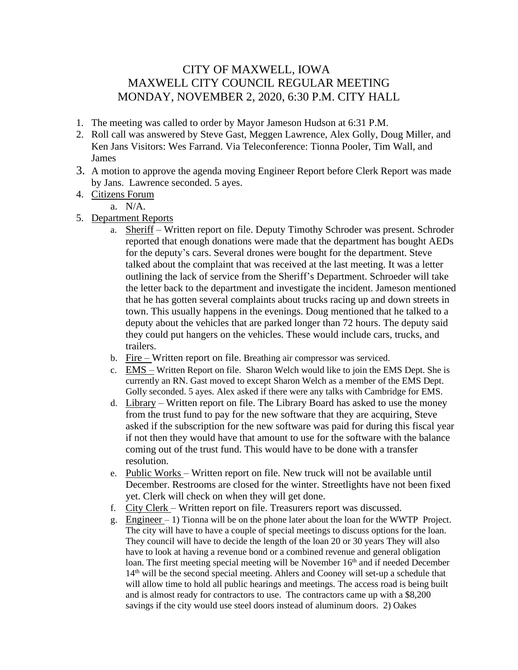## CITY OF MAXWELL, IOWA MAXWELL CITY COUNCIL REGULAR MEETING MONDAY, NOVEMBER 2, 2020, 6:30 P.M. CITY HALL

- 1. The meeting was called to order by Mayor Jameson Hudson at 6:31 P.M.
- 2. Roll call was answered by Steve Gast, Meggen Lawrence, Alex Golly, Doug Miller, and Ken Jans Visitors: Wes Farrand. Via Teleconference: Tionna Pooler, Tim Wall, and James
- 3. A motion to approve the agenda moving Engineer Report before Clerk Report was made by Jans. Lawrence seconded. 5 ayes.
- 4. Citizens Forum

a. N/A.

- 5. Department Reports
	- a. Sheriff Written report on file. Deputy Timothy Schroder was present. Schroder reported that enough donations were made that the department has bought AEDs for the deputy's cars. Several drones were bought for the department. Steve talked about the complaint that was received at the last meeting. It was a letter outlining the lack of service from the Sheriff's Department. Schroeder will take the letter back to the department and investigate the incident. Jameson mentioned that he has gotten several complaints about trucks racing up and down streets in town. This usually happens in the evenings. Doug mentioned that he talked to a deputy about the vehicles that are parked longer than 72 hours. The deputy said they could put hangers on the vehicles. These would include cars, trucks, and trailers.
	- b. Fire  $-$  Written report on file. Breathing air compressor was serviced.
	- c. EMS Written Report on file. Sharon Welch would like to join the EMS Dept. She is currently an RN. Gast moved to except Sharon Welch as a member of the EMS Dept. Golly seconded. 5 ayes. Alex asked if there were any talks with Cambridge for EMS.
	- d. Library Written report on file. The Library Board has asked to use the money from the trust fund to pay for the new software that they are acquiring, Steve asked if the subscription for the new software was paid for during this fiscal year if not then they would have that amount to use for the software with the balance coming out of the trust fund. This would have to be done with a transfer resolution.
	- e. Public Works Written report on file. New truck will not be available until December. Restrooms are closed for the winter. Streetlights have not been fixed yet. Clerk will check on when they will get done.
	- f. City Clerk Written report on file. Treasurers report was discussed.
	- g. Engineer  $-1$ ) Tionna will be on the phone later about the loan for the WWTP Project. The city will have to have a couple of special meetings to discuss options for the loan. They council will have to decide the length of the loan 20 or 30 years They will also have to look at having a revenue bond or a combined revenue and general obligation loan. The first meeting special meeting will be November 16<sup>th</sup> and if needed December 14th will be the second special meeting. Ahlers and Cooney will set-up a schedule that will allow time to hold all public hearings and meetings. The access road is being built and is almost ready for contractors to use. The contractors came up with a \$8,200 savings if the city would use steel doors instead of aluminum doors. 2) Oakes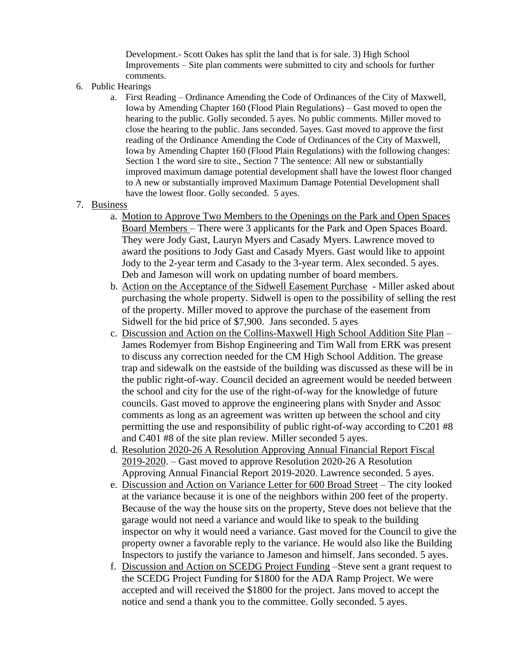Development.- Scott Oakes has split the land that is for sale. 3) High School Improvements – Site plan comments were submitted to city and schools for further comments.

- 6. Public Hearings
	- a. First Reading Ordinance Amending the Code of Ordinances of the City of Maxwell, Iowa by Amending Chapter 160 (Flood Plain Regulations) – Gast moved to open the hearing to the public. Golly seconded. 5 ayes. No public comments. Miller moved to close the hearing to the public. Jans seconded. 5ayes. Gast moved to approve the first reading of the Ordinance Amending the Code of Ordinances of the City of Maxwell, Iowa by Amending Chapter 160 (Flood Plain Regulations) with the following changes: Section 1 the word sire to site., Section 7 The sentence: All new or substantially improved maximum damage potential development shall have the lowest floor changed to A new or substantially improved Maximum Damage Potential Development shall have the lowest floor. Golly seconded. 5 ayes.
- 7. Business
	- a. Motion to Approve Two Members to the Openings on the Park and Open Spaces Board Members – There were 3 applicants for the Park and Open Spaces Board. They were Jody Gast, Lauryn Myers and Casady Myers. Lawrence moved to award the positions to Jody Gast and Casady Myers. Gast would like to appoint Jody to the 2-year term and Casady to the 3-year term. Alex seconded. 5 ayes. Deb and Jameson will work on updating number of board members.
	- b. Action on the Acceptance of the Sidwell Easement Purchase Miller asked about purchasing the whole property. Sidwell is open to the possibility of selling the rest of the property. Miller moved to approve the purchase of the easement from Sidwell for the bid price of \$7,900. Jans seconded. 5 ayes
	- c. Discussion and Action on the Collins-Maxwell High School Addition Site Plan James Rodemyer from Bishop Engineering and Tim Wall from ERK was present to discuss any correction needed for the CM High School Addition. The grease trap and sidewalk on the eastside of the building was discussed as these will be in the public right-of-way. Council decided an agreement would be needed between the school and city for the use of the right-of-way for the knowledge of future councils. Gast moved to approve the engineering plans with Snyder and Assoc comments as long as an agreement was written up between the school and city permitting the use and responsibility of public right-of-way according to C201 #8 and C401 #8 of the site plan review. Miller seconded 5 ayes.
	- d. Resolution 2020-26 A Resolution Approving Annual Financial Report Fiscal 2019-2020. – Gast moved to approve Resolution 2020-26 A Resolution Approving Annual Financial Report 2019-2020. Lawrence seconded. 5 ayes.
	- e. Discussion and Action on Variance Letter for 600 Broad Street The city looked at the variance because it is one of the neighbors within 200 feet of the property. Because of the way the house sits on the property, Steve does not believe that the garage would not need a variance and would like to speak to the building inspector on why it would need a variance. Gast moved for the Council to give the property owner a favorable reply to the variance. He would also like the Building Inspectors to justify the variance to Jameson and himself. Jans seconded. 5 ayes.
	- f. Discussion and Action on SCEDG Project Funding –Steve sent a grant request to the SCEDG Project Funding for \$1800 for the ADA Ramp Project. We were accepted and will received the \$1800 for the project. Jans moved to accept the notice and send a thank you to the committee. Golly seconded. 5 ayes.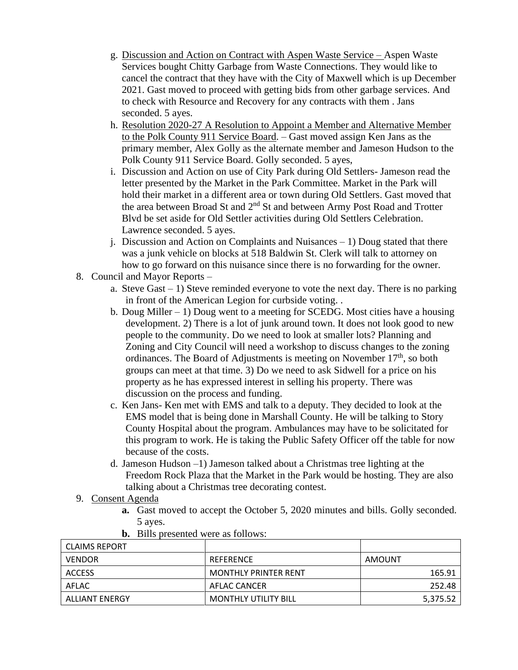- g. Discussion and Action on Contract with Aspen Waste Service Aspen Waste Services bought Chitty Garbage from Waste Connections. They would like to cancel the contract that they have with the City of Maxwell which is up December 2021. Gast moved to proceed with getting bids from other garbage services. And to check with Resource and Recovery for any contracts with them . Jans seconded. 5 ayes.
- h. Resolution 2020-27 A Resolution to Appoint a Member and Alternative Member to the Polk County 911 Service Board. – Gast moved assign Ken Jans as the primary member, Alex Golly as the alternate member and Jameson Hudson to the Polk County 911 Service Board. Golly seconded. 5 ayes,
- i. Discussion and Action on use of City Park during Old Settlers- Jameson read the letter presented by the Market in the Park Committee. Market in the Park will hold their market in a different area or town during Old Settlers. Gast moved that the area between Broad St and 2<sup>nd</sup> St and between Army Post Road and Trotter Blvd be set aside for Old Settler activities during Old Settlers Celebration. Lawrence seconded. 5 ayes.
- j. Discussion and Action on Complaints and Nuisances 1) Doug stated that there was a junk vehicle on blocks at 518 Baldwin St. Clerk will talk to attorney on how to go forward on this nuisance since there is no forwarding for the owner.
- 8. Council and Mayor Reports
	- a. Steve Gast 1) Steve reminded everyone to vote the next day. There is no parking in front of the American Legion for curbside voting. .
	- b. Doug Miller 1) Doug went to a meeting for SCEDG. Most cities have a housing development. 2) There is a lot of junk around town. It does not look good to new people to the community. Do we need to look at smaller lots? Planning and Zoning and City Council will need a workshop to discuss changes to the zoning ordinances. The Board of Adjustments is meeting on November 17<sup>th</sup>, so both groups can meet at that time. 3) Do we need to ask Sidwell for a price on his property as he has expressed interest in selling his property. There was discussion on the process and funding.
	- c. Ken Jans- Ken met with EMS and talk to a deputy. They decided to look at the EMS model that is being done in Marshall County. He will be talking to Story County Hospital about the program. Ambulances may have to be solicitated for this program to work. He is taking the Public Safety Officer off the table for now because of the costs.
	- d. Jameson Hudson –1) Jameson talked about a Christmas tree lighting at the Freedom Rock Plaza that the Market in the Park would be hosting. They are also talking about a Christmas tree decorating contest.
- 9. Consent Agenda
	- **a.** Gast moved to accept the October 5, 2020 minutes and bills. Golly seconded. 5 ayes.

| CLAIMS REPORT  |                             |          |
|----------------|-----------------------------|----------|
| <b>VENDOR</b>  | REFERENCE                   | AMOUNT   |
| <b>ACCESS</b>  | <b>MONTHLY PRINTER RENT</b> | 165.91   |
| AFLAC          | AFLAC CANCER                | 252.48   |
| ALLIANT ENERGY | <b>MONTHLY UTILITY BILL</b> | 5,375.52 |

**b.** Bills presented were as follows: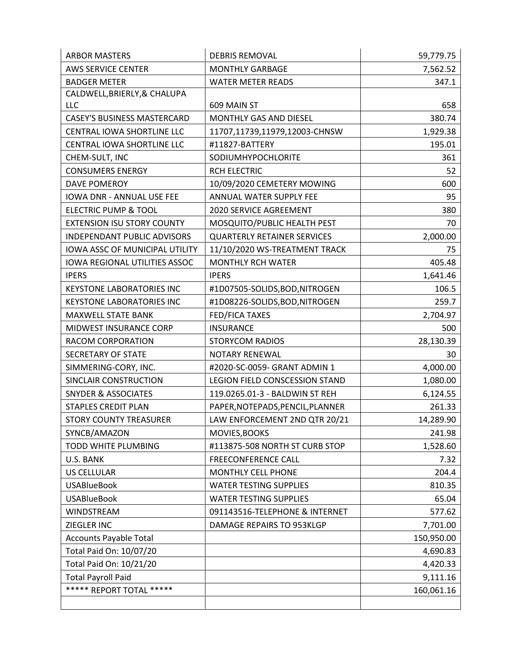| <b>ARBOR MASTERS</b>                  | <b>DEBRIS REMOVAL</b>              | 59,779.75  |
|---------------------------------------|------------------------------------|------------|
| <b>AWS SERVICE CENTER</b>             | <b>MONTHLY GARBAGE</b>             | 7,562.52   |
| <b>BADGER METER</b>                   | <b>WATER METER READS</b>           | 347.1      |
| CALDWELL, BRIERLY, & CHALUPA          |                                    |            |
| LLC                                   | 609 MAIN ST                        | 658        |
| <b>CASEY'S BUSINESS MASTERCARD</b>    | MONTHLY GAS AND DIESEL             | 380.74     |
| CENTRAL IOWA SHORTLINE LLC            | 11707,11739,11979,12003-CHNSW      | 1,929.38   |
| CENTRAL IOWA SHORTLINE LLC            | #11827-BATTERY                     | 195.01     |
| CHEM-SULT, INC                        | SODIUMHYPOCHLORITE                 | 361        |
| <b>CONSUMERS ENERGY</b>               | <b>RCH ELECTRIC</b>                | 52         |
| <b>DAVE POMEROY</b>                   | 10/09/2020 CEMETERY MOWING         | 600        |
| IOWA DNR - ANNUAL USE FEE             | ANNUAL WATER SUPPLY FEE            | 95         |
| ELECTRIC PUMP & TOOL                  | 2020 SERVICE AGREEMENT             | 380        |
| <b>EXTENSION ISU STORY COUNTY</b>     | MOSQUITO/PUBLIC HEALTH PEST        | 70         |
| INDEPENDANT PUBLIC ADVISORS           | <b>QUARTERLY RETAINER SERVICES</b> | 2,000.00   |
| <b>IOWA ASSC OF MUNICIPAL UTILITY</b> | 11/10/2020 WS-TREATMENT TRACK      | 75         |
| IOWA REGIONAL UTILITIES ASSOC         | <b>MONTHLY RCH WATER</b>           | 405.48     |
| <b>IPERS</b>                          | <b>IPERS</b>                       | 1,641.46   |
| <b>KEYSTONE LABORATORIES INC</b>      | #1D07505-SOLIDS, BOD, NITROGEN     | 106.5      |
| <b>KEYSTONE LABORATORIES INC</b>      | #1D08226-SOLIDS, BOD, NITROGEN     | 259.7      |
| MAXWELL STATE BANK                    | FED/FICA TAXES                     | 2,704.97   |
| <b>MIDWEST INSURANCE CORP</b>         | <b>INSURANCE</b>                   | 500        |
| RACOM CORPORATION                     | <b>STORYCOM RADIOS</b>             | 28,130.39  |
| SECRETARY OF STATE                    | NOTARY RENEWAL                     | 30         |
| SIMMERING-CORY, INC.                  | #2020-SC-0059- GRANT ADMIN 1       | 4,000.00   |
| SINCLAIR CONSTRUCTION                 | LEGION FIELD CONSCESSION STAND     | 1,080.00   |
| <b>SNYDER &amp; ASSOCIATES</b>        | 119.0265.01-3 - BALDWIN ST REH     | 6,124.55   |
| <b>STAPLES CREDIT PLAN</b>            | PAPER, NOTEPADS, PENCIL, PLANNER   | 261.33     |
| <b>STORY COUNTY TREASURER</b>         | LAW ENFORCEMENT 2ND QTR 20/21      | 14,289.90  |
| SYNCB/AMAZON                          | MOVIES, BOOKS                      | 241.98     |
| TODD WHITE PLUMBING                   | #113875-508 NORTH ST CURB STOP     | 1,528.60   |
| U.S. BANK                             | <b>FREECONFERENCE CALL</b>         | 7.32       |
| <b>US CELLULAR</b>                    | <b>MONTHLY CELL PHONE</b>          | 204.4      |
| <b>USABlueBook</b>                    | <b>WATER TESTING SUPPLIES</b>      | 810.35     |
| <b>USABlueBook</b>                    | <b>WATER TESTING SUPPLIES</b>      | 65.04      |
| WINDSTREAM                            | 091143516-TELEPHONE & INTERNET     | 577.62     |
| ZIEGLER INC                           | DAMAGE REPAIRS TO 953KLGP          | 7,701.00   |
| <b>Accounts Payable Total</b>         |                                    | 150,950.00 |
| Total Paid On: 10/07/20               |                                    | 4,690.83   |
| Total Paid On: 10/21/20               |                                    | 4,420.33   |
| <b>Total Payroll Paid</b>             |                                    | 9,111.16   |
| ***** REPORT TOTAL *****              |                                    | 160,061.16 |
|                                       |                                    |            |